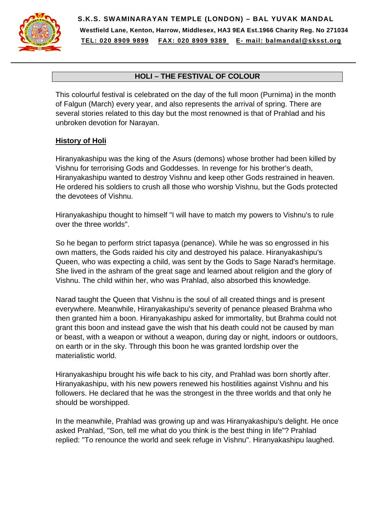

**S.K.S. SWAMINARAYAN TEMPLE (LONDON) – BAL YUVAK MANDAL Westfield Lane, Kenton, Harrow, Middlesex, HA3 9EA Est.1966 Charity Reg. No 271034 TEL: 020 8909 9899 FAX: 020 8909 9389 E- mail: balmandal@sksst.org**

## **HOLI – THE FESTIVAL OF COLOUR**

This colourful festival is celebrated on the day of the full moon (Purnima) in the month of Falgun (March) every year, and also represents the arrival of spring. There are several stories related to this day but the most renowned is that of Prahlad and his unbroken devotion for Narayan.

## **History of Holi**

Hiranyakashipu was the king of the Asurs (demons) whose brother had been killed by Vishnu for terrorising Gods and Goddesses. In revenge for his brother's death, Hiranyakashipu wanted to destroy Vishnu and keep other Gods restrained in heaven. He ordered his soldiers to crush all those who worship Vishnu, but the Gods protected the devotees of Vishnu.

Hiranyakashipu thought to himself "I will have to match my powers to Vishnu's to rule over the three worlds".

So he began to perform strict tapasya (penance). While he was so engrossed in his own matters, the Gods raided his city and destroyed his palace. Hiranyakashipu's Queen, who was expecting a child, was sent by the Gods to Sage Narad's hermitage. She lived in the ashram of the great sage and learned about religion and the glory of Vishnu. The child within her, who was Prahlad, also absorbed this knowledge.

Narad taught the Queen that Vishnu is the soul of all created things and is present everywhere. Meanwhile, Hiranyakashipu's severity of penance pleased Brahma who then granted him a boon. Hiranyakashipu asked for immortality, but Brahma could not grant this boon and instead gave the wish that his death could not be caused by man or beast, with a weapon or without a weapon, during day or night, indoors or outdoors, on earth or in the sky. Through this boon he was granted lordship over the materialistic world.

Hiranyakashipu brought his wife back to his city, and Prahlad was born shortly after. Hiranyakashipu, with his new powers renewed his hostilities against Vishnu and his followers. He declared that he was the strongest in the three worlds and that only he should be worshipped.

In the meanwhile, Prahlad was growing up and was Hiranyakashipu's delight. He once asked Prahlad, "Son, tell me what do you think is the best thing in life"? Prahlad replied: "To renounce the world and seek refuge in Vishnu". Hiranyakashipu laughed.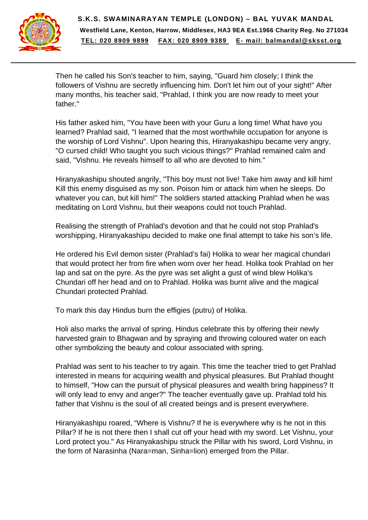

Then he called his Son's teacher to him, saying, "Guard him closely; I think the followers of Vishnu are secretly influencing him. Don't let him out of your sight!" After many months, his teacher said, "Prahlad, I think you are now ready to meet your father."

His father asked him, "You have been with your Guru a long time! What have you learned? Prahlad said, "I learned that the most worthwhile occupation for anyone is the worship of Lord Vishnu". Upon hearing this, Hiranyakashipu became very angry, "O cursed child! Who taught you such vicious things?" Prahlad remained calm and said, "Vishnu. He reveals himself to all who are devoted to him."

Hiranyakashipu shouted angrily, "This boy must not live! Take him away and kill him! Kill this enemy disguised as my son. Poison him or attack him when he sleeps. Do whatever you can, but kill him!" The soldiers started attacking Prahlad when he was meditating on Lord Vishnu, but their weapons could not touch Prahlad.

Realising the strength of Prahlad's devotion and that he could not stop Prahlad's worshipping, Hiranyakashipu decided to make one final attempt to take his son's life.

He ordered his Evil demon sister (Prahlad's fai) Holika to wear her magical chundari that would protect her from fire when worn over her head. Holika took Prahlad on her lap and sat on the pyre. As the pyre was set alight a gust of wind blew Holika's Chundari off her head and on to Prahlad. Holika was burnt alive and the magical Chundari protected Prahlad.

To mark this day Hindus burn the effigies (putru) of Holika.

Holi also marks the arrival of spring. Hindus celebrate this by offering their newly harvested grain to Bhagwan and by spraying and throwing coloured water on each other symbolizing the beauty and colour associated with spring.

Prahlad was sent to his teacher to try again. This time the teacher tried to get Prahlad interested in means for acquiring wealth and physical pleasures. But Prahlad thought to himself, "How can the pursuit of physical pleasures and wealth bring happiness? It will only lead to envy and anger?" The teacher eventually gave up. Prahlad told his father that Vishnu is the soul of all created beings and is present everywhere.

Hiranyakashipu roared, "Where is Vishnu? If he is everywhere why is he not in this Pillar? If he is not there then I shall cut off your head with my sword. Let Vishnu, your Lord protect you." As Hiranyakashipu struck the Pillar with his sword, Lord Vishnu, in the form of Narasinha (Nara=man, Sinha=lion) emerged from the Pillar.